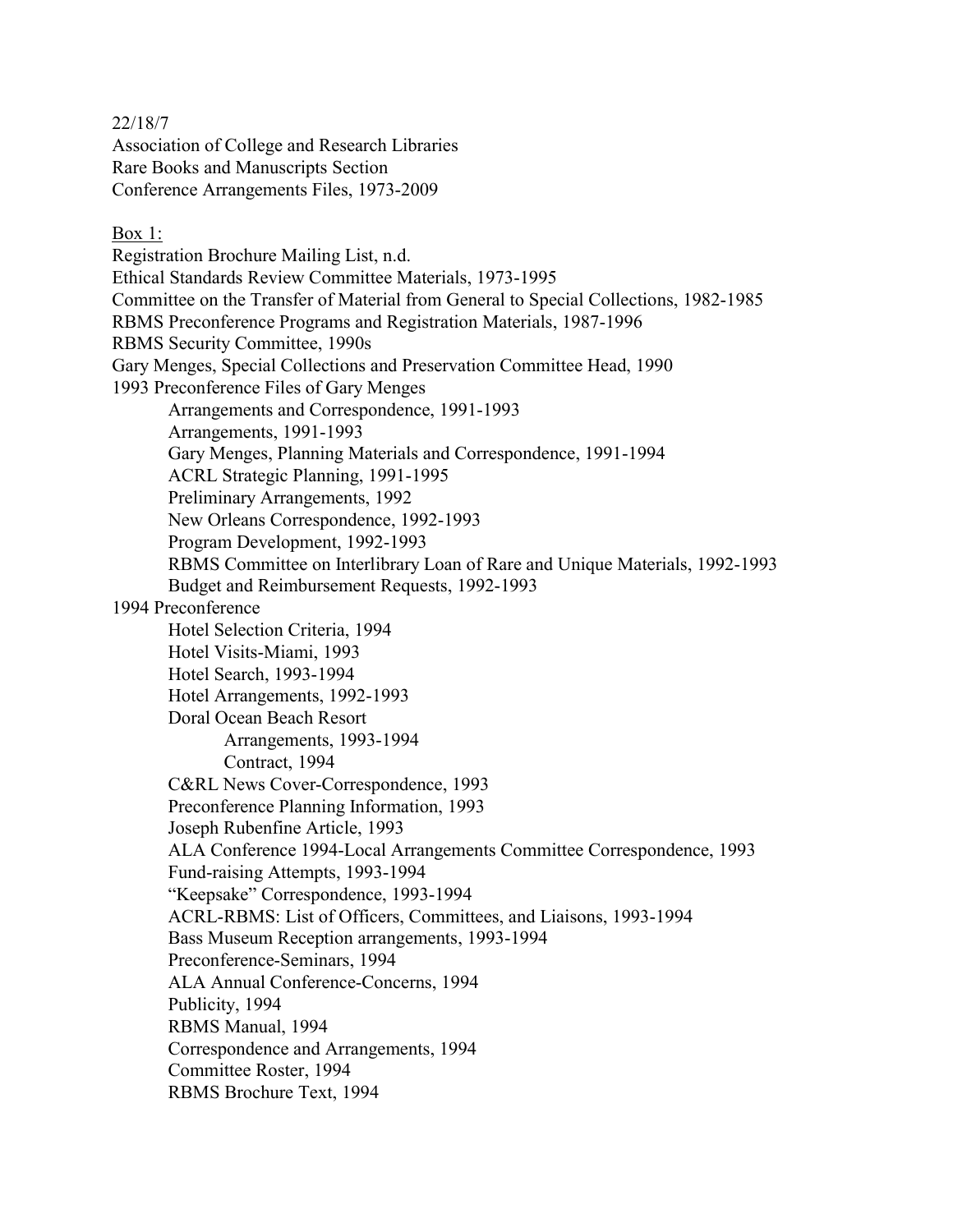22/18/7

Association of College and Research Libraries Rare Books and Manuscripts Section Conference Arrangements Files, 1973-2009

# Box 1:

Registration Brochure Mailing List, n.d. Ethical Standards Review Committee Materials, 1973-1995 Committee on the Transfer of Material from General to Special Collections, 1982-1985 RBMS Preconference Programs and Registration Materials, 1987-1996 RBMS Security Committee, 1990s Gary Menges, Special Collections and Preservation Committee Head, 1990 1993 Preconference Files of Gary Menges Arrangements and Correspondence, 1991-1993 Arrangements, 1991-1993 Gary Menges, Planning Materials and Correspondence, 1991-1994 ACRL Strategic Planning, 1991-1995 Preliminary Arrangements, 1992 New Orleans Correspondence, 1992-1993 Program Development, 1992-1993 RBMS Committee on Interlibrary Loan of Rare and Unique Materials, 1992-1993 Budget and Reimbursement Requests, 1992-1993 1994 Preconference Hotel Selection Criteria, 1994 Hotel Visits-Miami, 1993 Hotel Search, 1993-1994 Hotel Arrangements, 1992-1993 Doral Ocean Beach Resort Arrangements, 1993-1994 Contract, 1994 C&RL News Cover-Correspondence, 1993 Preconference Planning Information, 1993 Joseph Rubenfine Article, 1993 ALA Conference 1994-Local Arrangements Committee Correspondence, 1993 Fund-raising Attempts, 1993-1994 "Keepsake" Correspondence, 1993-1994 ACRL-RBMS: List of Officers, Committees, and Liaisons, 1993-1994 Bass Museum Reception arrangements, 1993-1994 Preconference-Seminars, 1994 ALA Annual Conference-Concerns, 1994 Publicity, 1994 RBMS Manual, 1994 Correspondence and Arrangements, 1994 Committee Roster, 1994 RBMS Brochure Text, 1994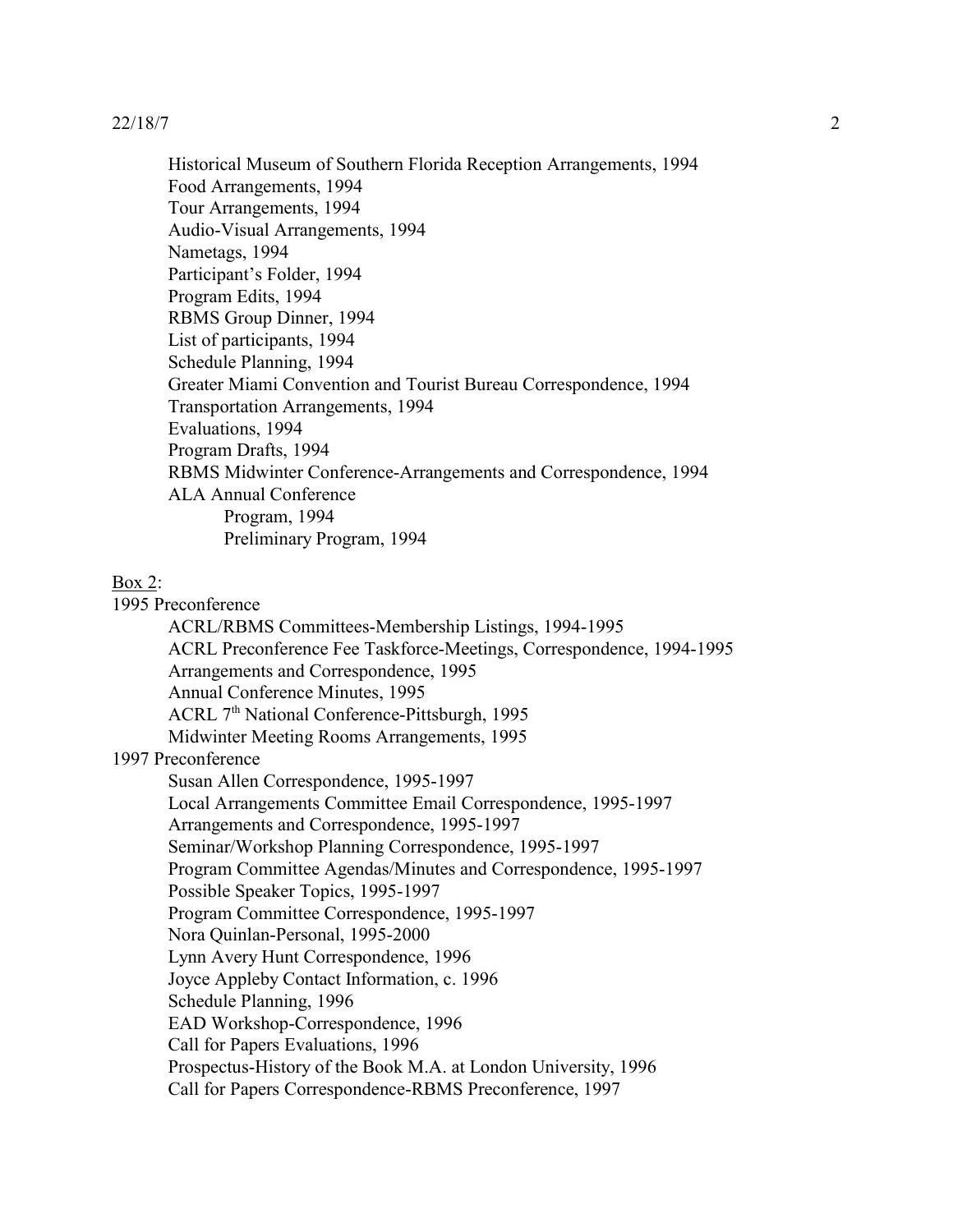Historical Museum of Southern Florida Reception Arrangements, 1994 Food Arrangements, 1994 Tour Arrangements, 1994 Audio-Visual Arrangements, 1994 Nametags, 1994 Participant's Folder, 1994 Program Edits, 1994 RBMS Group Dinner, 1994 List of participants, 1994 Schedule Planning, 1994 Greater Miami Convention and Tourist Bureau Correspondence, 1994 Transportation Arrangements, 1994 Evaluations, 1994 Program Drafts, 1994 RBMS Midwinter Conference-Arrangements and Correspondence, 1994 ALA Annual Conference Program, 1994 Preliminary Program, 1994

### Box 2:

1995 Preconference ACRL/RBMS Committees-Membership Listings, 1994-1995 ACRL Preconference Fee Taskforce-Meetings, Correspondence, 1994-1995 Arrangements and Correspondence, 1995 Annual Conference Minutes, 1995 ACRL 7<sup>th</sup> National Conference-Pittsburgh, 1995 Midwinter Meeting Rooms Arrangements, 1995 1997 Preconference Susan Allen Correspondence, 1995-1997 Local Arrangements Committee Email Correspondence, 1995-1997 Arrangements and Correspondence, 1995-1997 Seminar/Workshop Planning Correspondence, 1995-1997 Program Committee Agendas/Minutes and Correspondence, 1995-1997 Possible Speaker Topics, 1995-1997 Program Committee Correspondence, 1995-1997 Nora Quinlan-Personal, 1995-2000 Lynn Avery Hunt Correspondence, 1996 Joyce Appleby Contact Information, c. 1996 Schedule Planning, 1996 EAD Workshop-Correspondence, 1996 Call for Papers Evaluations, 1996 Prospectus-History of the Book M.A. at London University, 1996 Call for Papers Correspondence-RBMS Preconference, 1997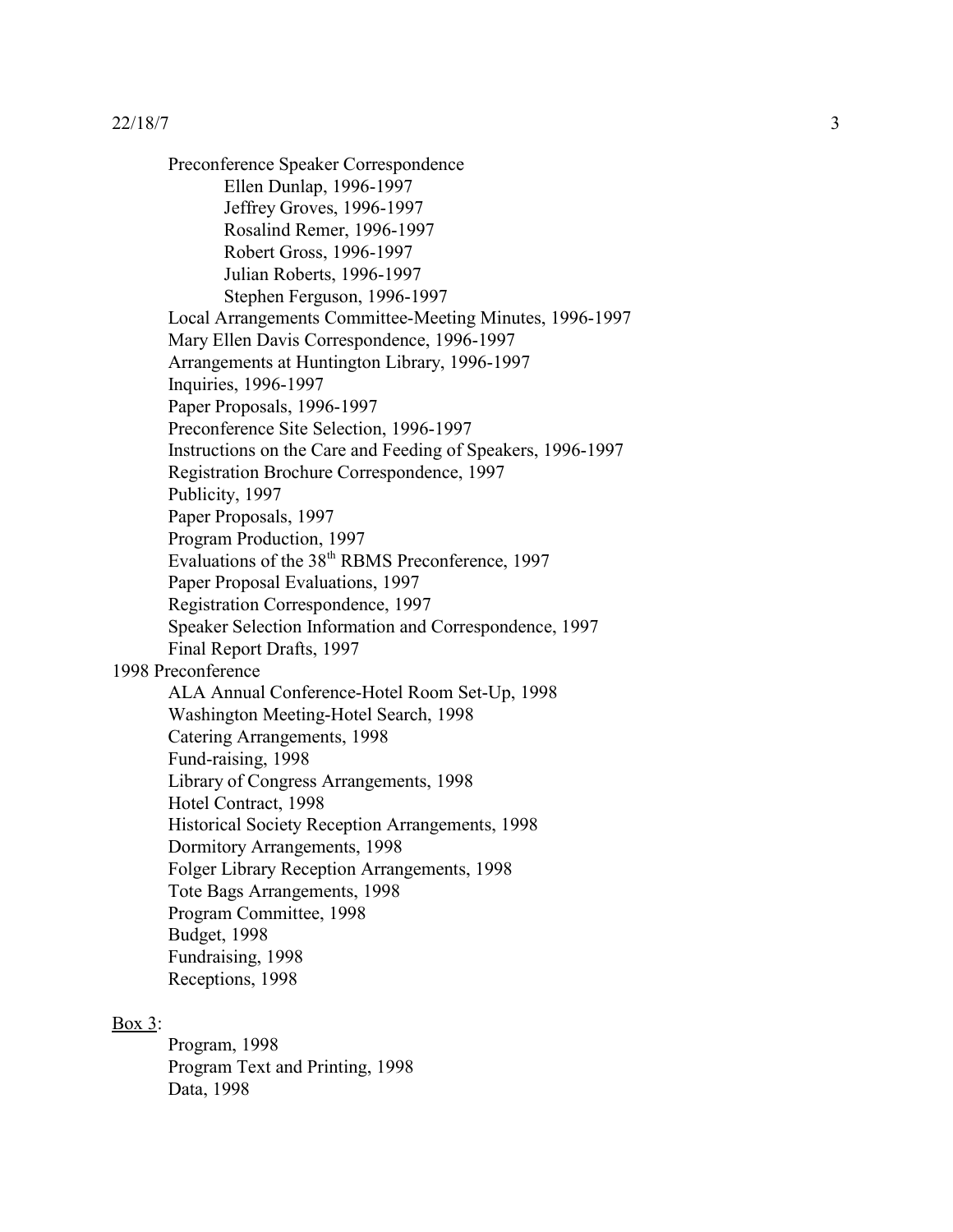Preconference Speaker Correspondence Ellen Dunlap, 1996-1997 Jeffrey Groves, 1996-1997 Rosalind Remer, 1996-1997 Robert Gross, 1996-1997 Julian Roberts, 1996-1997 Stephen Ferguson, 1996-1997 Local Arrangements Committee-Meeting Minutes, 1996-1997 Mary Ellen Davis Correspondence, 1996-1997 Arrangements at Huntington Library, 1996-1997 Inquiries, 1996-1997 Paper Proposals, 1996-1997 Preconference Site Selection, 1996-1997 Instructions on the Care and Feeding of Speakers, 1996-1997 Registration Brochure Correspondence, 1997 Publicity, 1997 Paper Proposals, 1997 Program Production, 1997 Evaluations of the 38<sup>th</sup> RBMS Preconference, 1997 Paper Proposal Evaluations, 1997 Registration Correspondence, 1997 Speaker Selection Information and Correspondence, 1997 Final Report Drafts, 1997 1998 Preconference ALA Annual Conference-Hotel Room Set-Up, 1998 Washington Meeting-Hotel Search, 1998 Catering Arrangements, 1998 Fund-raising, 1998 Library of Congress Arrangements, 1998 Hotel Contract, 1998 Historical Society Reception Arrangements, 1998 Dormitory Arrangements, 1998 Folger Library Reception Arrangements, 1998 Tote Bags Arrangements, 1998 Program Committee, 1998 Budget, 1998 Fundraising, 1998 Receptions, 1998

### Box 3:

Program, 1998 Program Text and Printing, 1998 Data, 1998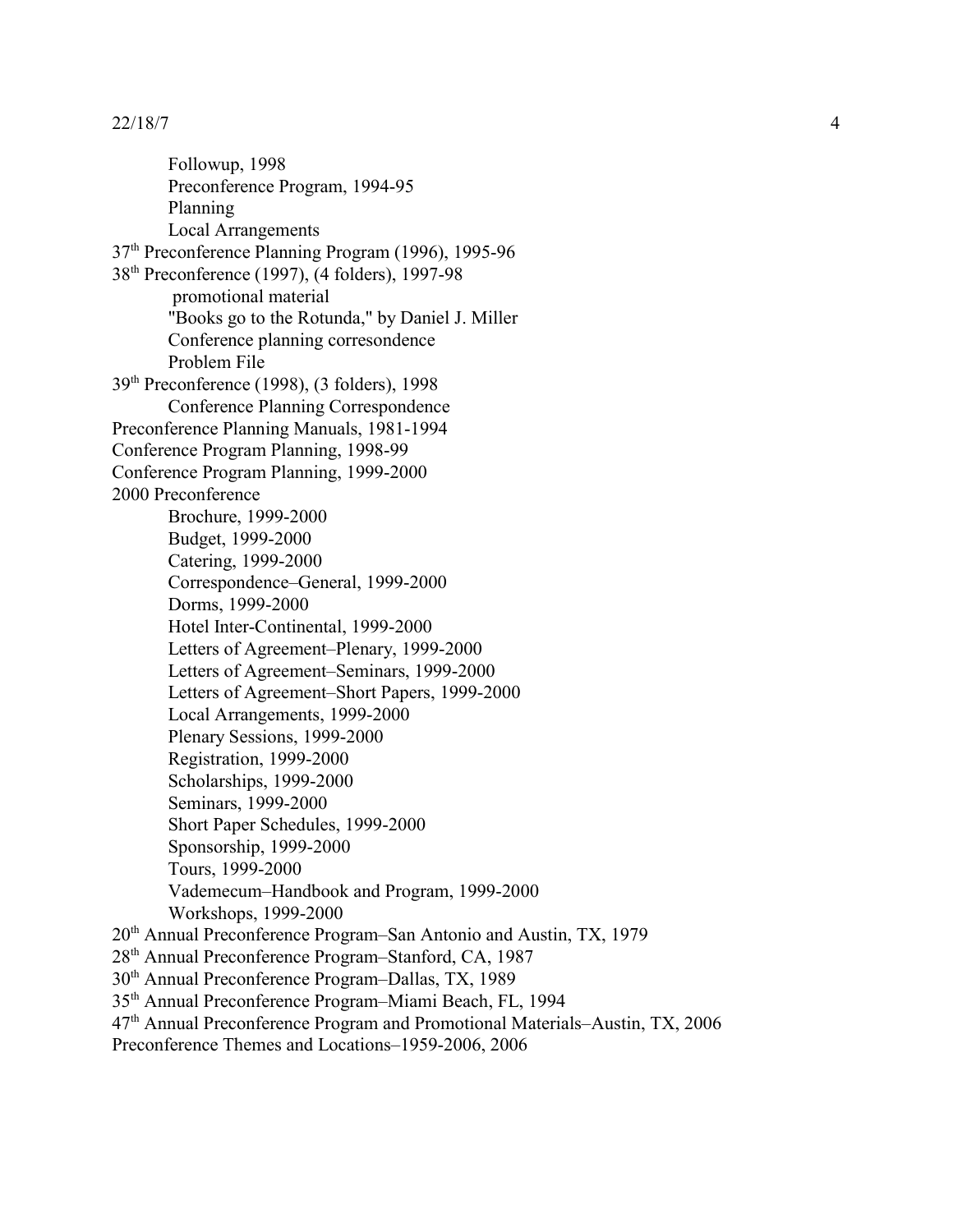Followup, 1998 Preconference Program, 1994-95 Planning Local Arrangements 37th Preconference Planning Program (1996), 1995-96 38th Preconference (1997), (4 folders), 1997-98 promotional material "Books go to the Rotunda," by Daniel J. Miller Conference planning corresondence Problem File 39th Preconference (1998), (3 folders), 1998 Conference Planning Correspondence Preconference Planning Manuals, 1981-1994 Conference Program Planning, 1998-99 Conference Program Planning, 1999-2000 2000 Preconference Brochure, 1999-2000 Budget, 1999-2000 Catering, 1999-2000 Correspondence–General, 1999-2000 Dorms, 1999-2000 Hotel Inter-Continental, 1999-2000 Letters of Agreement–Plenary, 1999-2000 Letters of Agreement–Seminars, 1999-2000 Letters of Agreement–Short Papers, 1999-2000 Local Arrangements, 1999-2000 Plenary Sessions, 1999-2000 Registration, 1999-2000 Scholarships, 1999-2000 Seminars, 1999-2000 Short Paper Schedules, 1999-2000 Sponsorship, 1999-2000 Tours, 1999-2000 Vademecum–Handbook and Program, 1999-2000 Workshops, 1999-2000 20th Annual Preconference Program–San Antonio and Austin, TX, 1979 28<sup>th</sup> Annual Preconference Program–Stanford, CA, 1987 30th Annual Preconference Program–Dallas, TX, 1989 35th Annual Preconference Program–Miami Beach, FL, 1994

47th Annual Preconference Program and Promotional Materials–Austin, TX, 2006

Preconference Themes and Locations–1959-2006, 2006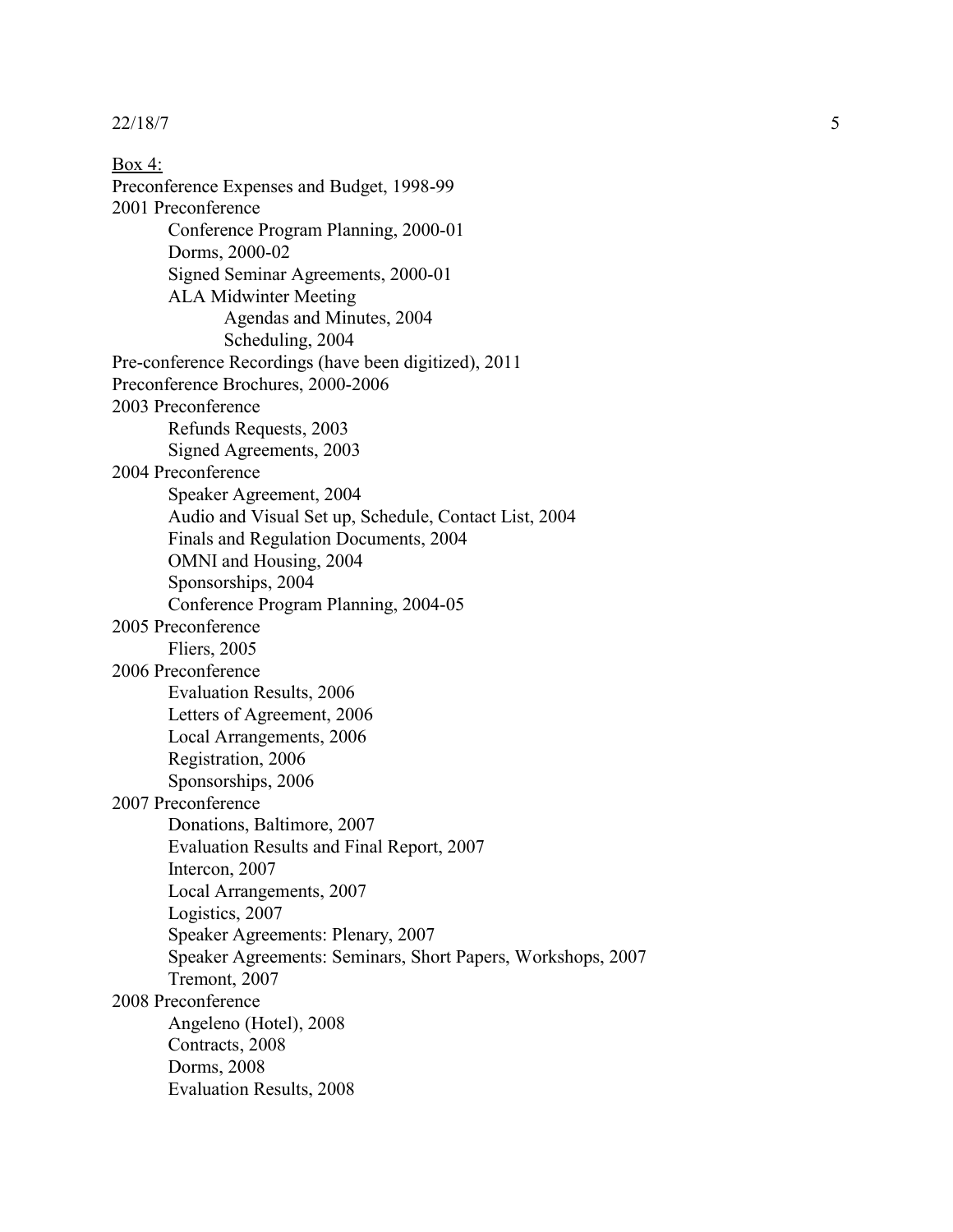Box 4: Preconference Expenses and Budget, 1998-99 2001 Preconference Conference Program Planning, 2000-01 Dorms, 2000-02 Signed Seminar Agreements, 2000-01 ALA Midwinter Meeting Agendas and Minutes, 2004 Scheduling, 2004 Pre-conference Recordings (have been digitized), 2011 Preconference Brochures, 2000-2006 2003 Preconference Refunds Requests, 2003 Signed Agreements, 2003 2004 Preconference Speaker Agreement, 2004 Audio and Visual Set up, Schedule, Contact List, 2004 Finals and Regulation Documents, 2004 OMNI and Housing, 2004 Sponsorships, 2004 Conference Program Planning, 2004-05 2005 Preconference Fliers, 2005 2006 Preconference Evaluation Results, 2006 Letters of Agreement, 2006 Local Arrangements, 2006 Registration, 2006 Sponsorships, 2006 2007 Preconference Donations, Baltimore, 2007 Evaluation Results and Final Report, 2007 Intercon, 2007 Local Arrangements, 2007 Logistics, 2007 Speaker Agreements: Plenary, 2007 Speaker Agreements: Seminars, Short Papers, Workshops, 2007 Tremont, 2007 2008 Preconference Angeleno (Hotel), 2008 Contracts, 2008 Dorms, 2008 Evaluation Results, 2008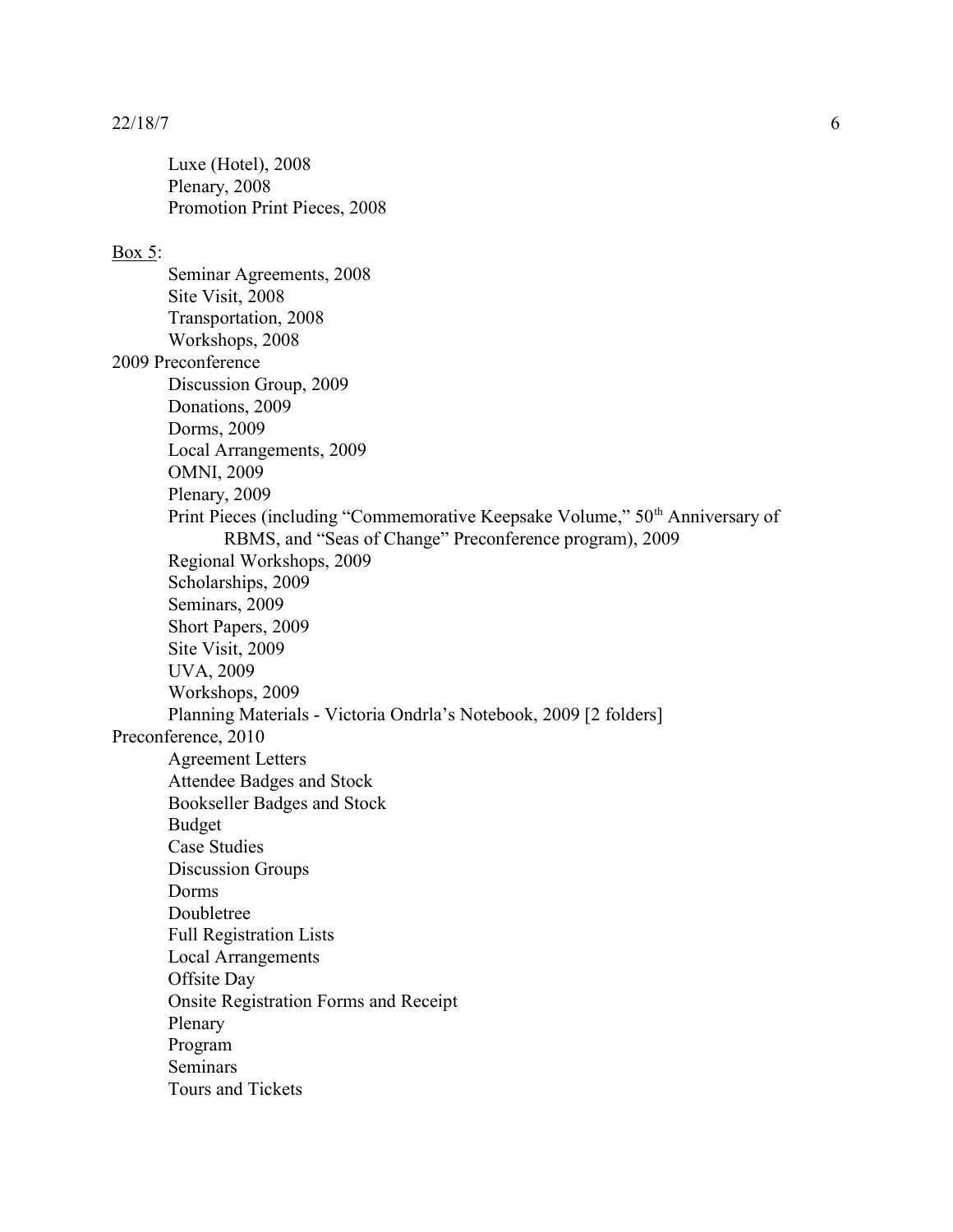Luxe (Hotel), 2008 Plenary, 2008 Promotion Print Pieces, 2008

### Box 5:

Seminar Agreements, 2008 Site Visit, 2008 Transportation, 2008 Workshops, 2008 2009 Preconference Discussion Group, 2009 Donations, 2009 Dorms, 2009 Local Arrangements, 2009 OMNI, 2009 Plenary, 2009 Print Pieces (including "Commemorative Keepsake Volume," 50<sup>th</sup> Anniversary of RBMS, and "Seas of Change" Preconference program), 2009 Regional Workshops, 2009 Scholarships, 2009 Seminars, 2009 Short Papers, 2009 Site Visit, 2009 UVA, 2009 Workshops, 2009 Planning Materials - Victoria Ondrla's Notebook, 2009 [2 folders] Preconference, 2010 Agreement Letters Attendee Badges and Stock Bookseller Badges and Stock Budget Case Studies Discussion Groups Dorms Doubletree Full Registration Lists Local Arrangements Offsite Day Onsite Registration Forms and Receipt Plenary Program Seminars Tours and Tickets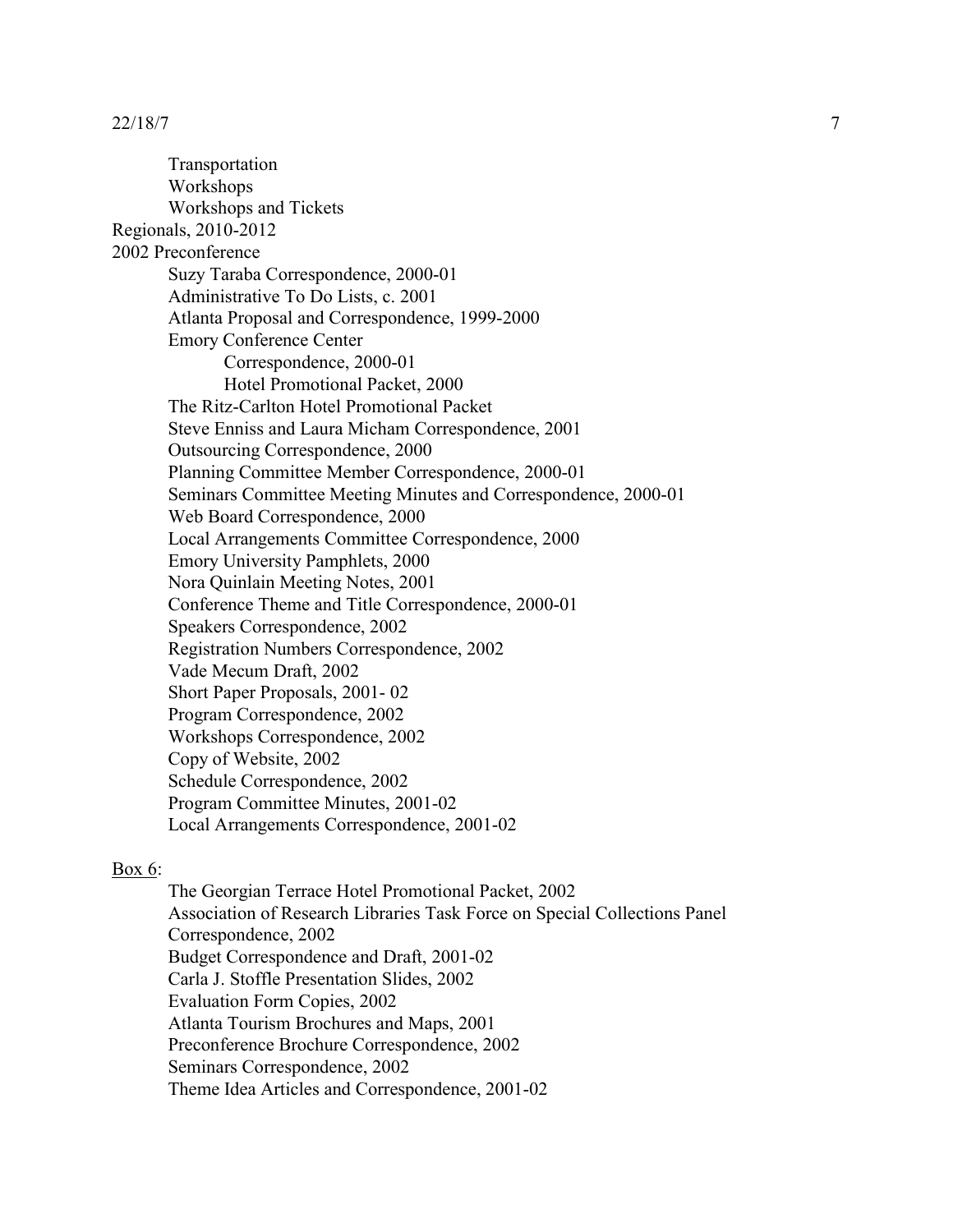Transportation Workshops Workshops and Tickets Regionals, 2010-2012 2002 Preconference Suzy Taraba Correspondence, 2000-01 Administrative To Do Lists, c. 2001 Atlanta Proposal and Correspondence, 1999-2000 Emory Conference Center Correspondence, 2000-01 Hotel Promotional Packet, 2000 The Ritz-Carlton Hotel Promotional Packet Steve Enniss and Laura Micham Correspondence, 2001 Outsourcing Correspondence, 2000 Planning Committee Member Correspondence, 2000-01 Seminars Committee Meeting Minutes and Correspondence, 2000-01 Web Board Correspondence, 2000 Local Arrangements Committee Correspondence, 2000 Emory University Pamphlets, 2000 Nora Quinlain Meeting Notes, 2001 Conference Theme and Title Correspondence, 2000-01 Speakers Correspondence, 2002 Registration Numbers Correspondence, 2002 Vade Mecum Draft, 2002 Short Paper Proposals, 2001- 02 Program Correspondence, 2002 Workshops Correspondence, 2002 Copy of Website, 2002 Schedule Correspondence, 2002 Program Committee Minutes, 2001-02 Local Arrangements Correspondence, 2001-02

## Box 6:

The Georgian Terrace Hotel Promotional Packet, 2002 Association of Research Libraries Task Force on Special Collections Panel Correspondence, 2002 Budget Correspondence and Draft, 2001-02 Carla J. Stoffle Presentation Slides, 2002 Evaluation Form Copies, 2002 Atlanta Tourism Brochures and Maps, 2001 Preconference Brochure Correspondence, 2002 Seminars Correspondence, 2002 Theme Idea Articles and Correspondence, 2001-02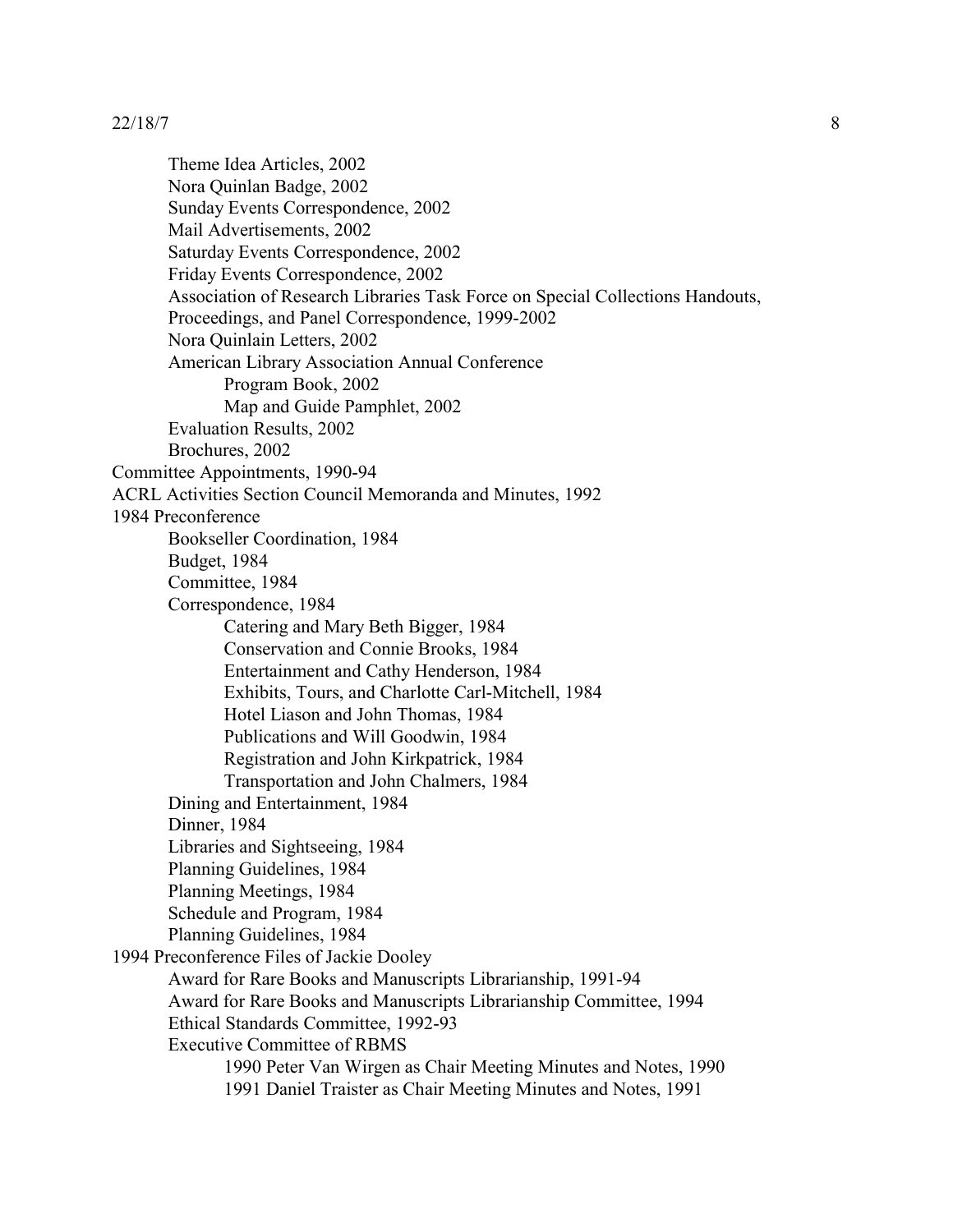Theme Idea Articles, 2002 Nora Quinlan Badge, 2002 Sunday Events Correspondence, 2002 Mail Advertisements, 2002 Saturday Events Correspondence, 2002 Friday Events Correspondence, 2002 Association of Research Libraries Task Force on Special Collections Handouts, Proceedings, and Panel Correspondence, 1999-2002 Nora Quinlain Letters, 2002 American Library Association Annual Conference Program Book, 2002 Map and Guide Pamphlet, 2002 Evaluation Results, 2002 Brochures, 2002 Committee Appointments, 1990-94 ACRL Activities Section Council Memoranda and Minutes, 1992 1984 Preconference Bookseller Coordination, 1984 Budget, 1984 Committee, 1984 Correspondence, 1984 Catering and Mary Beth Bigger, 1984 Conservation and Connie Brooks, 1984 Entertainment and Cathy Henderson, 1984 Exhibits, Tours, and Charlotte Carl-Mitchell, 1984 Hotel Liason and John Thomas, 1984 Publications and Will Goodwin, 1984 Registration and John Kirkpatrick, 1984 Transportation and John Chalmers, 1984 Dining and Entertainment, 1984 Dinner, 1984 Libraries and Sightseeing, 1984 Planning Guidelines, 1984 Planning Meetings, 1984 Schedule and Program, 1984 Planning Guidelines, 1984 1994 Preconference Files of Jackie Dooley Award for Rare Books and Manuscripts Librarianship, 1991-94 Award for Rare Books and Manuscripts Librarianship Committee, 1994 Ethical Standards Committee, 1992-93 Executive Committee of RBMS 1990 Peter Van Wirgen as Chair Meeting Minutes and Notes, 1990 1991 Daniel Traister as Chair Meeting Minutes and Notes, 1991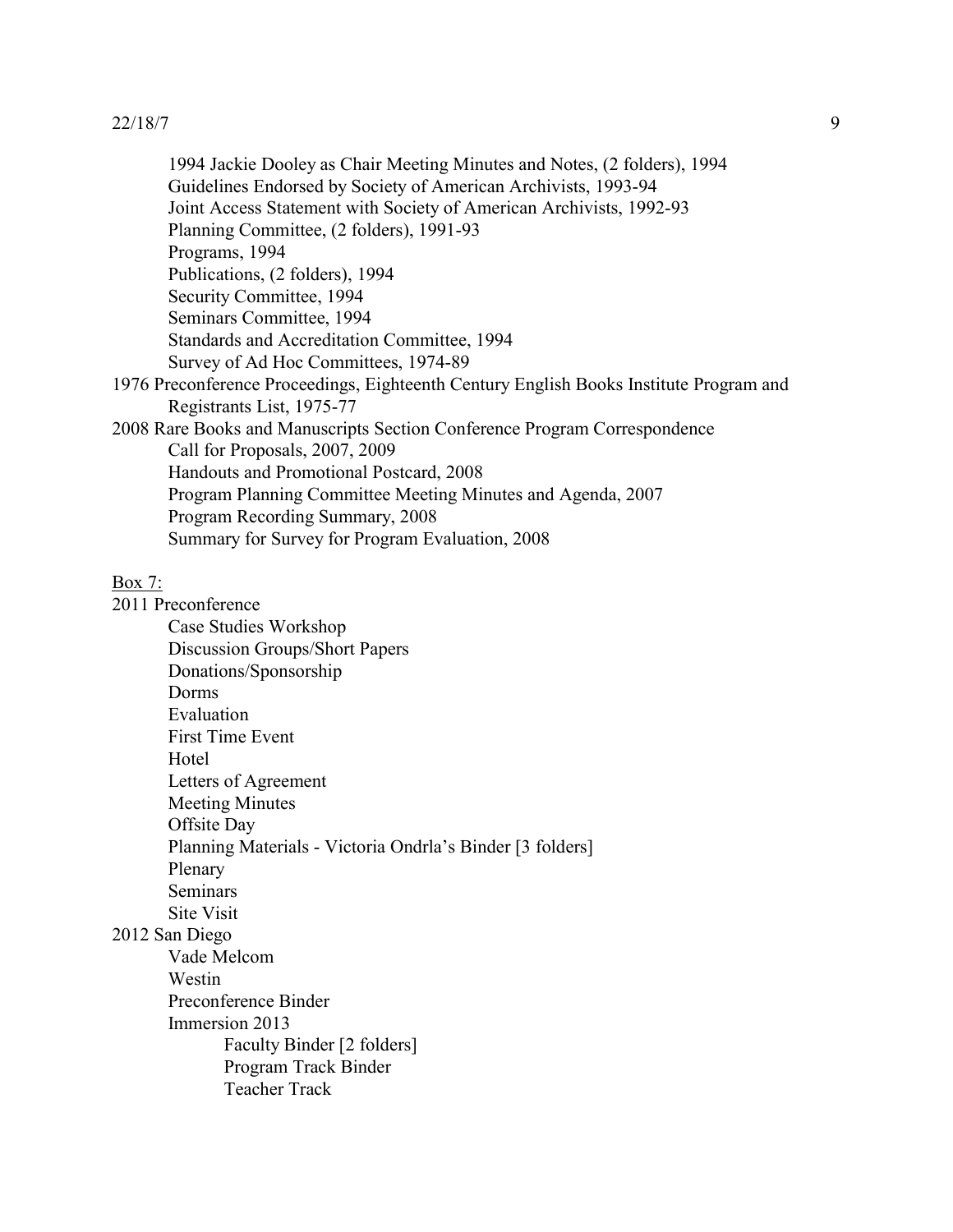1994 Jackie Dooley as Chair Meeting Minutes and Notes, (2 folders), 1994 Guidelines Endorsed by Society of American Archivists, 1993-94 Joint Access Statement with Society of American Archivists, 1992-93 Planning Committee, (2 folders), 1991-93 Programs, 1994 Publications, (2 folders), 1994 Security Committee, 1994 Seminars Committee, 1994 Standards and Accreditation Committee, 1994 Survey of Ad Hoc Committees, 1974-89 1976 Preconference Proceedings, Eighteenth Century English Books Institute Program and Registrants List, 1975-77 2008 Rare Books and Manuscripts Section Conference Program Correspondence Call for Proposals, 2007, 2009 Handouts and Promotional Postcard, 2008 Program Planning Committee Meeting Minutes and Agenda, 2007 Program Recording Summary, 2008 Summary for Survey for Program Evaluation, 2008

### Box 7:

2011 Preconference Case Studies Workshop Discussion Groups/Short Papers Donations/Sponsorship Dorms Evaluation First Time Event **Hotel** Letters of Agreement Meeting Minutes Offsite Day Planning Materials - Victoria Ondrla's Binder [3 folders] Plenary Seminars Site Visit 2012 San Diego

# Vade Melcom Westin Preconference Binder Immersion 2013 Faculty Binder [2 folders] Program Track Binder Teacher Track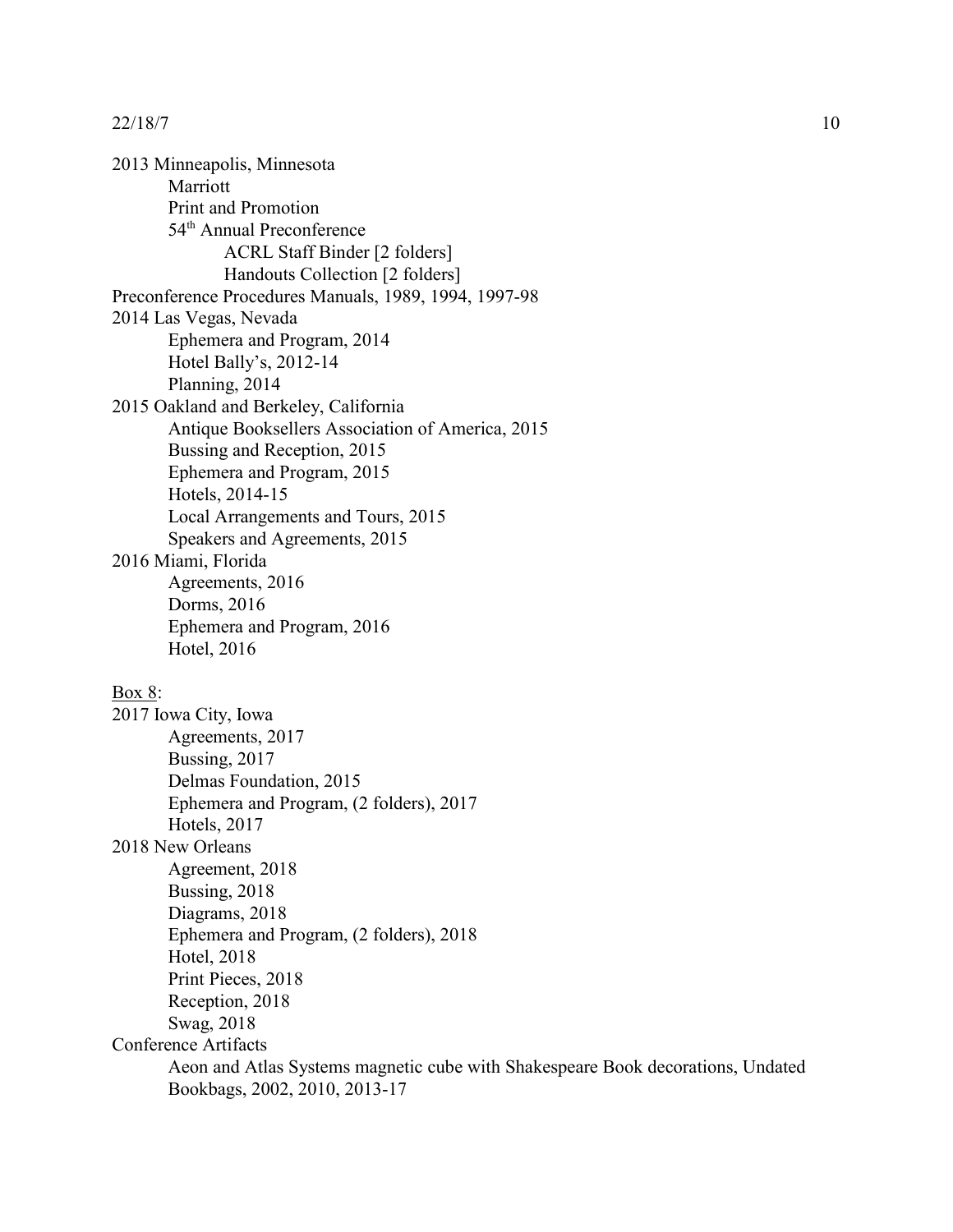2013 Minneapolis, Minnesota Marriott Print and Promotion 54<sup>th</sup> Annual Preconference ACRL Staff Binder [2 folders] Handouts Collection [2 folders] Preconference Procedures Manuals, 1989, 1994, 1997-98 2014 Las Vegas, Nevada Ephemera and Program, 2014 Hotel Bally's, 2012-14 Planning, 2014 2015 Oakland and Berkeley, California Antique Booksellers Association of America, 2015 Bussing and Reception, 2015 Ephemera and Program, 2015 Hotels, 2014-15 Local Arrangements and Tours, 2015 Speakers and Agreements, 2015 2016 Miami, Florida Agreements, 2016 Dorms, 2016 Ephemera and Program, 2016 Hotel, 2016 Box 8: 2017 Iowa City, Iowa Agreements, 2017

Bussing, 2017

Hotels, 2017

Hotel, 2018 Print Pieces, 2018 Reception, 2018 Swag, 2018

Conference Artifacts

Agreement, 2018 Bussing, 2018 Diagrams, 2018

2018 New Orleans

Delmas Foundation, 2015

Ephemera and Program, (2 folders), 2017

Ephemera and Program, (2 folders), 2018

Bookbags, 2002, 2010, 2013-17

Aeon and Atlas Systems magnetic cube with Shakespeare Book decorations, Undated